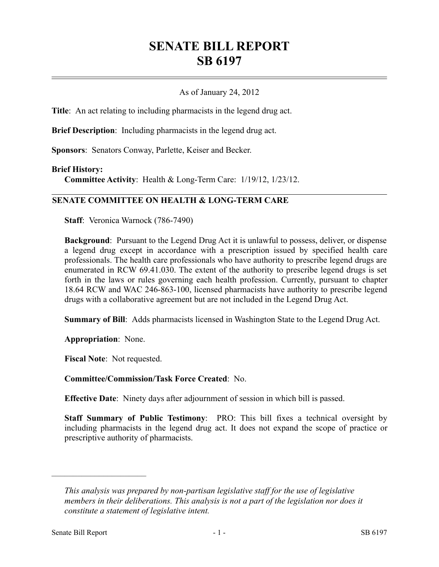## **SENATE BILL REPORT SB 6197**

## As of January 24, 2012

**Title**: An act relating to including pharmacists in the legend drug act.

**Brief Description**: Including pharmacists in the legend drug act.

**Sponsors**: Senators Conway, Parlette, Keiser and Becker.

## **Brief History:**

**Committee Activity**: Health & Long-Term Care: 1/19/12, 1/23/12.

## **SENATE COMMITTEE ON HEALTH & LONG-TERM CARE**

**Staff**: Veronica Warnock (786-7490)

**Background**: Pursuant to the Legend Drug Act it is unlawful to possess, deliver, or dispense a legend drug except in accordance with a prescription issued by specified health care professionals. The health care professionals who have authority to prescribe legend drugs are enumerated in RCW 69.41.030. The extent of the authority to prescribe legend drugs is set forth in the laws or rules governing each health profession. Currently, pursuant to chapter 18.64 RCW and WAC 246-863-100, licensed pharmacists have authority to prescribe legend drugs with a collaborative agreement but are not included in the Legend Drug Act.

**Summary of Bill**: Adds pharmacists licensed in Washington State to the Legend Drug Act.

**Appropriation**: None.

**Fiscal Note**: Not requested.

**Committee/Commission/Task Force Created**: No.

**Effective Date**: Ninety days after adjournment of session in which bill is passed.

**Staff Summary of Public Testimony**: PRO: This bill fixes a technical oversight by including pharmacists in the legend drug act. It does not expand the scope of practice or prescriptive authority of pharmacists.

––––––––––––––––––––––

*This analysis was prepared by non-partisan legislative staff for the use of legislative members in their deliberations. This analysis is not a part of the legislation nor does it constitute a statement of legislative intent.*